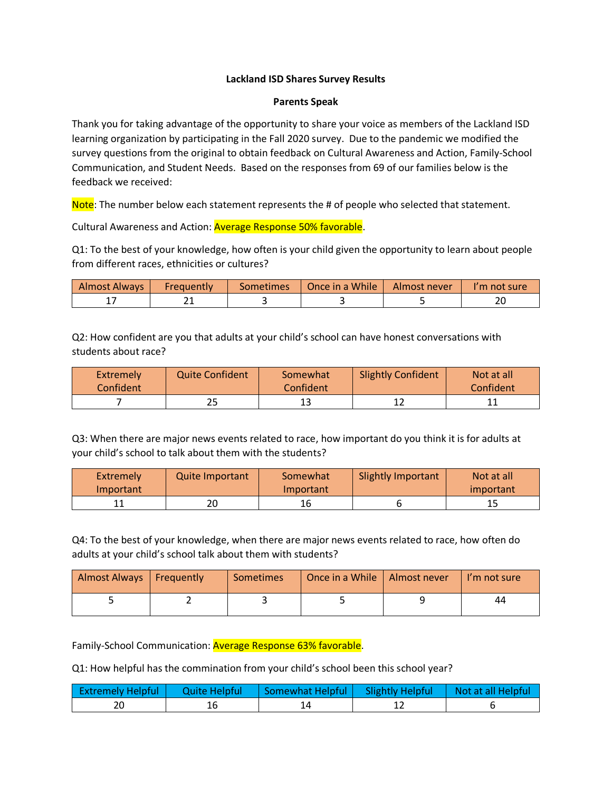## **Lackland ISD Shares Survey Results**

## **Parents Speak**

Thank you for taking advantage of the opportunity to share your voice as members of the Lackland ISD learning organization by participating in the Fall 2020 survey. Due to the pandemic we modified the survey questions from the original to obtain feedback on Cultural Awareness and Action, Family-School Communication, and Student Needs. Based on the responses from 69 of our families below is the feedback we received:

Note: The number below each statement represents the # of people who selected that statement.

Cultural Awareness and Action: Average Response 50% favorable.

Q1: To the best of your knowledge, how often is your child given the opportunity to learn about people from different races, ethnicities or cultures?

| Almost Always | Frequently | <b>Sometimes</b> | Once in a While | Almost never | 'm not sure' |
|---------------|------------|------------------|-----------------|--------------|--------------|
|               | ∽          |                  |                 |              | $\sim$<br>້  |

Q2: How confident are you that adults at your child's school can have honest conversations with students about race?

| <b>Extremely</b><br>Confident <sup>'</sup> | Quite Confident | Somewhat<br><b>Confident</b> | <b>Slightly Confident</b> | Not at all<br>Confident |
|--------------------------------------------|-----------------|------------------------------|---------------------------|-------------------------|
|                                            |                 |                              |                           |                         |

Q3: When there are major news events related to race, how important do you think it is for adults at your child's school to talk about them with the students?

| Extremely | <b>Quite Important</b> | Somewhat  | <b>Slightly Important</b> | Not at all |
|-----------|------------------------|-----------|---------------------------|------------|
| Important |                        | Important |                           | important  |
|           | 20                     | 16        |                           |            |

Q4: To the best of your knowledge, when there are major news events related to race, how often do adults at your child's school talk about them with students?

| Almost Always   Frequently | <b>Sometimes</b> | Once in a While   Almost never | I'm not sure |
|----------------------------|------------------|--------------------------------|--------------|
|                            |                  |                                | 44           |

Family-School Communication: Average Response 63% favorable.

Q1: How helpful has the commination from your child's school been this school year?

| <b>Extremely Helpful</b> | Quite Helpful | Somewhat Helpful   Slightly Helpful | $\vert$ Not at all Helpful |
|--------------------------|---------------|-------------------------------------|----------------------------|
|                          |               |                                     |                            |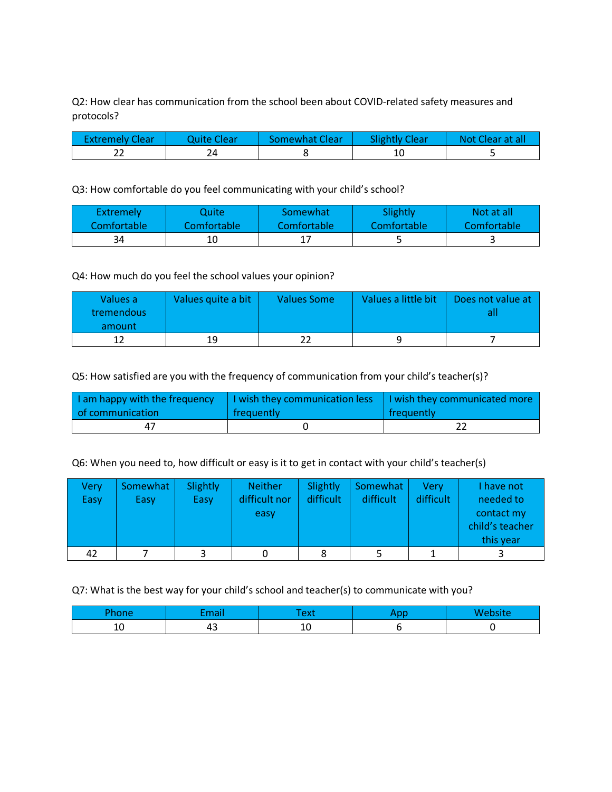Q2: How clear has communication from the school been about COVID-related safety measures and protocols?

| <b>Extremely Clear</b> | Ouite Clear | Somewhat Clear | <b>Slightly Clear</b> | Not Clear at all |
|------------------------|-------------|----------------|-----------------------|------------------|
|                        |             |                | 10                    |                  |

Q3: How comfortable do you feel communicating with your child's school?

| <b>Extremely</b> | Quite.             | Somewhat                 | Slightly    | Not at all  |
|------------------|--------------------|--------------------------|-------------|-------------|
| Comfortable      | <b>Comfortable</b> | Comfortable <sup>'</sup> | Comfortable | Comfortable |
| 34               | 10                 |                          |             |             |

Q4: How much do you feel the school values your opinion?

| Values a<br>tremendous | Values quite a bit | <b>Values Some</b> | Values a little bit | Does not value at |
|------------------------|--------------------|--------------------|---------------------|-------------------|
| amount                 |                    |                    |                     |                   |
|                        | 19                 |                    |                     |                   |

Q5: How satisfied are you with the frequency of communication from your child's teacher(s)?

| I am happy with the frequency | I I wish they communication less | I wish they communicated more |  |
|-------------------------------|----------------------------------|-------------------------------|--|
| of communication              | frequently                       | l freauentlv                  |  |
| 47                            |                                  |                               |  |

Q6: When you need to, how difficult or easy is it to get in contact with your child's teacher(s)

| Very | Somewhat | Slightly | <b>Neither</b> | Slightly  | Somewhat  | Verv      | I have not      |
|------|----------|----------|----------------|-----------|-----------|-----------|-----------------|
| Easy | Easy     | Easy     | difficult nor  | difficult | difficult | difficult | needed to       |
|      |          |          | easy           |           |           |           | contact my      |
|      |          |          |                |           |           |           | child's teacher |
|      |          |          |                |           |           |           | this year       |
| 42   |          |          |                |           |           |           |                 |

Q7: What is the best way for your child's school and teacher(s) to communicate with you?

|    | $-$                            |    | -- - |  |
|----|--------------------------------|----|------|--|
| ∸∪ | $\overline{\phantom{a}}$<br>43 | ΨU |      |  |